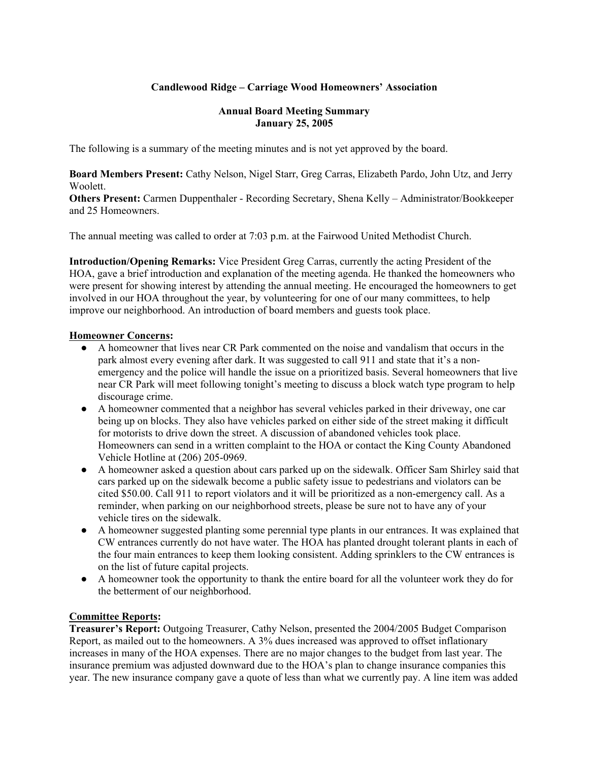## **Candlewood Ridge – Carriage Wood Homeowners' Association**

#### **Annual Board Meeting Summary January 25, 2005**

The following is a summary of the meeting minutes and is not yet approved by the board.

**Board Members Present:** Cathy Nelson, Nigel Starr, Greg Carras, Elizabeth Pardo, John Utz, and Jerry Woolett.

**Others Present:** Carmen Duppenthaler - Recording Secretary, Shena Kelly – Administrator/Bookkeeper and 25 Homeowners.

The annual meeting was called to order at 7:03 p.m. at the Fairwood United Methodist Church.

**Introduction/Opening Remarks:** Vice President Greg Carras, currently the acting President of the HOA, gave a brief introduction and explanation of the meeting agenda. He thanked the homeowners who were present for showing interest by attending the annual meeting. He encouraged the homeowners to get involved in our HOA throughout the year, by volunteering for one of our many committees, to help improve our neighborhood. An introduction of board members and guests took place.

### **Homeowner Concerns:**

- A homeowner that lives near CR Park commented on the noise and vandalism that occurs in the park almost every evening after dark. It was suggested to call 911 and state that it's a nonemergency and the police will handle the issue on a prioritized basis. Several homeowners that live near CR Park will meet following tonight's meeting to discuss a block watch type program to help discourage crime.
- A homeowner commented that a neighbor has several vehicles parked in their driveway, one car being up on blocks. They also have vehicles parked on either side of the street making it difficult for motorists to drive down the street. A discussion of abandoned vehicles took place. Homeowners can send in a written complaint to the HOA or contact the King County Abandoned Vehicle Hotline at (206) 205-0969.
- A homeowner asked a question about cars parked up on the sidewalk. Officer Sam Shirley said that cars parked up on the sidewalk become a public safety issue to pedestrians and violators can be cited \$50.00. Call 911 to report violators and it will be prioritized as a non-emergency call. As a reminder, when parking on our neighborhood streets, please be sure not to have any of your vehicle tires on the sidewalk.
- A homeowner suggested planting some perennial type plants in our entrances. It was explained that CW entrances currently do not have water. The HOA has planted drought tolerant plants in each of the four main entrances to keep them looking consistent. Adding sprinklers to the CW entrances is on the list of future capital projects.
- A homeowner took the opportunity to thank the entire board for all the volunteer work they do for the betterment of our neighborhood.

## **Committee Reports:**

**Treasurer's Report:** Outgoing Treasurer, Cathy Nelson, presented the 2004/2005 Budget Comparison Report, as mailed out to the homeowners. A 3% dues increased was approved to offset inflationary increases in many of the HOA expenses. There are no major changes to the budget from last year. The insurance premium was adjusted downward due to the HOA's plan to change insurance companies this year. The new insurance company gave a quote of less than what we currently pay. A line item was added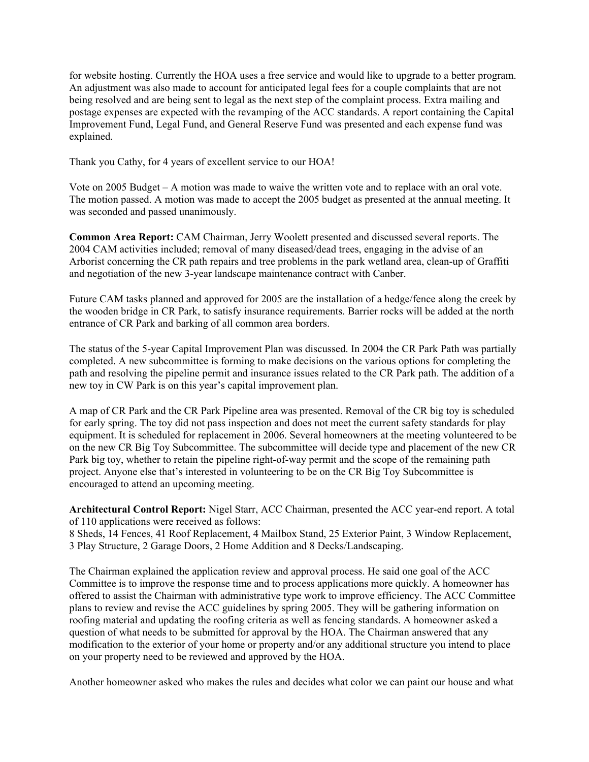for website hosting. Currently the HOA uses a free service and would like to upgrade to a better program. An adjustment was also made to account for anticipated legal fees for a couple complaints that are not being resolved and are being sent to legal as the next step of the complaint process. Extra mailing and postage expenses are expected with the revamping of the ACC standards. A report containing the Capital Improvement Fund, Legal Fund, and General Reserve Fund was presented and each expense fund was explained.

Thank you Cathy, for 4 years of excellent service to our HOA!

Vote on 2005 Budget – A motion was made to waive the written vote and to replace with an oral vote. The motion passed. A motion was made to accept the 2005 budget as presented at the annual meeting. It was seconded and passed unanimously.

**Common Area Report:** CAM Chairman, Jerry Woolett presented and discussed several reports. The 2004 CAM activities included; removal of many diseased/dead trees, engaging in the advise of an Arborist concerning the CR path repairs and tree problems in the park wetland area, clean-up of Graffiti and negotiation of the new 3-year landscape maintenance contract with Canber.

Future CAM tasks planned and approved for 2005 are the installation of a hedge/fence along the creek by the wooden bridge in CR Park, to satisfy insurance requirements. Barrier rocks will be added at the north entrance of CR Park and barking of all common area borders.

The status of the 5-year Capital Improvement Plan was discussed. In 2004 the CR Park Path was partially completed. A new subcommittee is forming to make decisions on the various options for completing the path and resolving the pipeline permit and insurance issues related to the CR Park path. The addition of a new toy in CW Park is on this year's capital improvement plan.

A map of CR Park and the CR Park Pipeline area was presented. Removal of the CR big toy is scheduled for early spring. The toy did not pass inspection and does not meet the current safety standards for play equipment. It is scheduled for replacement in 2006. Several homeowners at the meeting volunteered to be on the new CR Big Toy Subcommittee. The subcommittee will decide type and placement of the new CR Park big toy, whether to retain the pipeline right-of-way permit and the scope of the remaining path project. Anyone else that's interested in volunteering to be on the CR Big Toy Subcommittee is encouraged to attend an upcoming meeting.

**Architectural Control Report:** Nigel Starr, ACC Chairman, presented the ACC year-end report. A total of 110 applications were received as follows:

8 Sheds, 14 Fences, 41 Roof Replacement, 4 Mailbox Stand, 25 Exterior Paint, 3 Window Replacement, 3 Play Structure, 2 Garage Doors, 2 Home Addition and 8 Decks/Landscaping.

The Chairman explained the application review and approval process. He said one goal of the ACC Committee is to improve the response time and to process applications more quickly. A homeowner has offered to assist the Chairman with administrative type work to improve efficiency. The ACC Committee plans to review and revise the ACC guidelines by spring 2005. They will be gathering information on roofing material and updating the roofing criteria as well as fencing standards. A homeowner asked a question of what needs to be submitted for approval by the HOA. The Chairman answered that any modification to the exterior of your home or property and/or any additional structure you intend to place on your property need to be reviewed and approved by the HOA.

Another homeowner asked who makes the rules and decides what color we can paint our house and what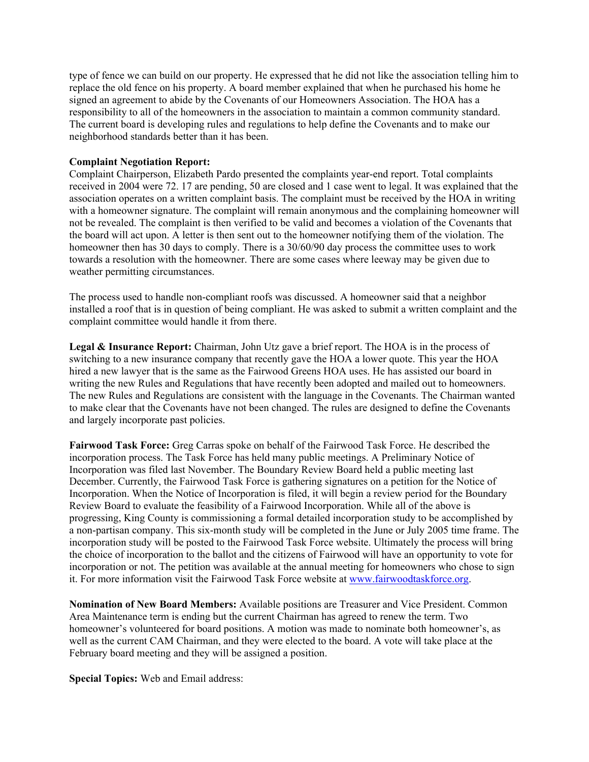type of fence we can build on our property. He expressed that he did not like the association telling him to replace the old fence on his property. A board member explained that when he purchased his home he signed an agreement to abide by the Covenants of our Homeowners Association. The HOA has a responsibility to all of the homeowners in the association to maintain a common community standard. The current board is developing rules and regulations to help define the Covenants and to make our neighborhood standards better than it has been.

#### **Complaint Negotiation Report:**

Complaint Chairperson, Elizabeth Pardo presented the complaints year-end report. Total complaints received in 2004 were 72. 17 are pending, 50 are closed and 1 case went to legal. It was explained that the association operates on a written complaint basis. The complaint must be received by the HOA in writing with a homeowner signature. The complaint will remain anonymous and the complaining homeowner will not be revealed. The complaint is then verified to be valid and becomes a violation of the Covenants that the board will act upon. A letter is then sent out to the homeowner notifying them of the violation. The homeowner then has 30 days to comply. There is a 30/60/90 day process the committee uses to work towards a resolution with the homeowner. There are some cases where leeway may be given due to weather permitting circumstances.

The process used to handle non-compliant roofs was discussed. A homeowner said that a neighbor installed a roof that is in question of being compliant. He was asked to submit a written complaint and the complaint committee would handle it from there.

**Legal & Insurance Report:** Chairman, John Utz gave a brief report. The HOA is in the process of switching to a new insurance company that recently gave the HOA a lower quote. This year the HOA hired a new lawyer that is the same as the Fairwood Greens HOA uses. He has assisted our board in writing the new Rules and Regulations that have recently been adopted and mailed out to homeowners. The new Rules and Regulations are consistent with the language in the Covenants. The Chairman wanted to make clear that the Covenants have not been changed. The rules are designed to define the Covenants and largely incorporate past policies.

**Fairwood Task Force:** Greg Carras spoke on behalf of the Fairwood Task Force. He described the incorporation process. The Task Force has held many public meetings. A Preliminary Notice of Incorporation was filed last November. The Boundary Review Board held a public meeting last December. Currently, the Fairwood Task Force is gathering signatures on a petition for the Notice of Incorporation. When the Notice of Incorporation is filed, it will begin a review period for the Boundary Review Board to evaluate the feasibility of a Fairwood Incorporation. While all of the above is progressing, King County is commissioning a formal detailed incorporation study to be accomplished by a non-partisan company. This six-month study will be completed in the June or July 2005 time frame. The incorporation study will be posted to the Fairwood Task Force website. Ultimately the process will bring the choice of incorporation to the ballot and the citizens of Fairwood will have an opportunity to vote for incorporation or not. The petition was available at the annual meeting for homeowners who chose to sign it. For more information visit the Fairwood Task Force website at www.fairwoodtaskforce.org.

**Nomination of New Board Members:** Available positions are Treasurer and Vice President. Common Area Maintenance term is ending but the current Chairman has agreed to renew the term. Two homeowner's volunteered for board positions. A motion was made to nominate both homeowner's, as well as the current CAM Chairman, and they were elected to the board. A vote will take place at the February board meeting and they will be assigned a position.

**Special Topics:** Web and Email address: